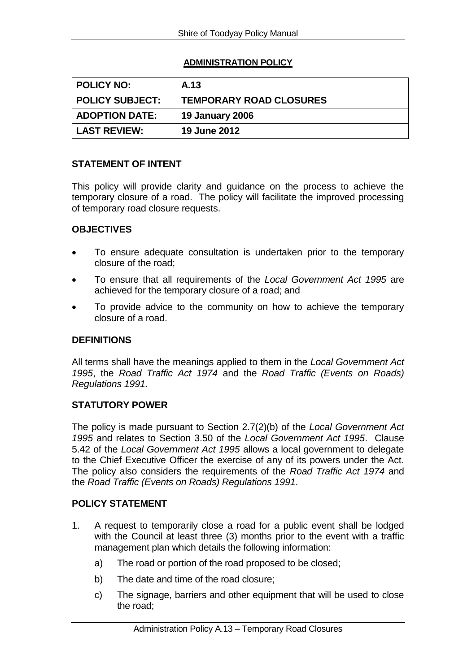# **ADMINISTRATION POLICY**

| ∣ POLICY NO:           | A.13                           |
|------------------------|--------------------------------|
| <b>POLICY SUBJECT:</b> | <b>TEMPORARY ROAD CLOSURES</b> |
| <b>ADOPTION DATE:</b>  | <b>19 January 2006</b>         |
| <b>LAST REVIEW:</b>    | <b>19 June 2012</b>            |

# **STATEMENT OF INTENT**

This policy will provide clarity and guidance on the process to achieve the temporary closure of a road. The policy will facilitate the improved processing of temporary road closure requests.

## **OBJECTIVES**

- To ensure adequate consultation is undertaken prior to the temporary closure of the road;
- To ensure that all requirements of the *Local Government Act 1995* are achieved for the temporary closure of a road; and
- To provide advice to the community on how to achieve the temporary closure of a road.

#### **DEFINITIONS**

All terms shall have the meanings applied to them in the *Local Government Act 1995*, the *Road Traffic Act 1974* and the *Road Traffic (Events on Roads) Regulations 1991*.

## **STATUTORY POWER**

The policy is made pursuant to Section 2.7(2)(b) of the *Local Government Act 1995* and relates to Section 3.50 of the *Local Government Act 1995*. Clause 5.42 of the *Local Government Act 1995* allows a local government to delegate to the Chief Executive Officer the exercise of any of its powers under the Act. The policy also considers the requirements of the *Road Traffic Act 1974* and the *Road Traffic (Events on Roads) Regulations 1991*.

# **POLICY STATEMENT**

- 1. A request to temporarily close a road for a public event shall be lodged with the Council at least three (3) months prior to the event with a traffic management plan which details the following information:
	- a) The road or portion of the road proposed to be closed;
	- b) The date and time of the road closure;
	- c) The signage, barriers and other equipment that will be used to close the road;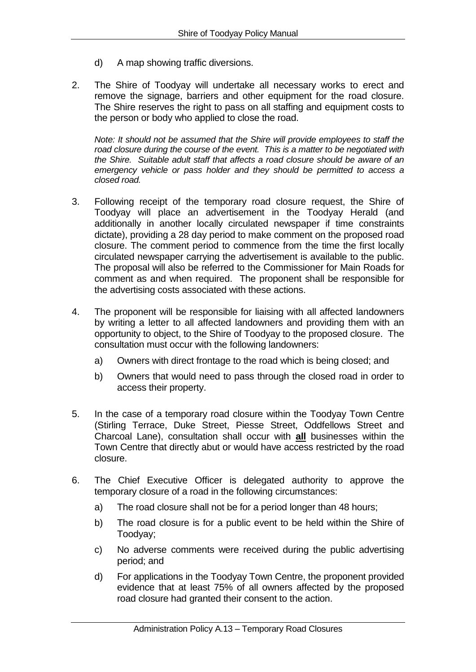- d) A map showing traffic diversions.
- 2. The Shire of Toodyay will undertake all necessary works to erect and remove the signage, barriers and other equipment for the road closure. The Shire reserves the right to pass on all staffing and equipment costs to the person or body who applied to close the road.

*Note: It should not be assumed that the Shire will provide employees to staff the road closure during the course of the event. This is a matter to be negotiated with the Shire. Suitable adult staff that affects a road closure should be aware of an emergency vehicle or pass holder and they should be permitted to access a closed road.*

- 3. Following receipt of the temporary road closure request, the Shire of Toodyay will place an advertisement in the Toodyay Herald (and additionally in another locally circulated newspaper if time constraints dictate), providing a 28 day period to make comment on the proposed road closure. The comment period to commence from the time the first locally circulated newspaper carrying the advertisement is available to the public. The proposal will also be referred to the Commissioner for Main Roads for comment as and when required. The proponent shall be responsible for the advertising costs associated with these actions.
- 4. The proponent will be responsible for liaising with all affected landowners by writing a letter to all affected landowners and providing them with an opportunity to object, to the Shire of Toodyay to the proposed closure. The consultation must occur with the following landowners:
	- a) Owners with direct frontage to the road which is being closed; and
	- b) Owners that would need to pass through the closed road in order to access their property.
- 5. In the case of a temporary road closure within the Toodyay Town Centre (Stirling Terrace, Duke Street, Piesse Street, Oddfellows Street and Charcoal Lane), consultation shall occur with **all** businesses within the Town Centre that directly abut or would have access restricted by the road closure.
- 6. The Chief Executive Officer is delegated authority to approve the temporary closure of a road in the following circumstances:
	- a) The road closure shall not be for a period longer than 48 hours;
	- b) The road closure is for a public event to be held within the Shire of Toodyay;
	- c) No adverse comments were received during the public advertising period; and
	- d) For applications in the Toodyay Town Centre, the proponent provided evidence that at least 75% of all owners affected by the proposed road closure had granted their consent to the action.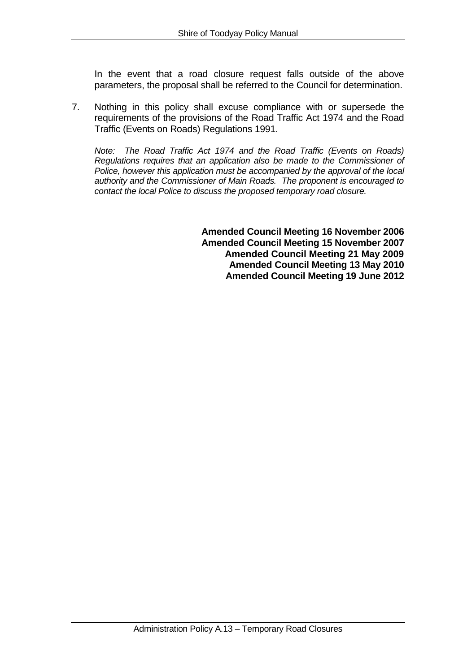In the event that a road closure request falls outside of the above parameters, the proposal shall be referred to the Council for determination.

7. Nothing in this policy shall excuse compliance with or supersede the requirements of the provisions of the Road Traffic Act 1974 and the Road Traffic (Events on Roads) Regulations 1991.

*Note: The Road Traffic Act 1974 and the Road Traffic (Events on Roads) Regulations requires that an application also be made to the Commissioner of Police, however this application must be accompanied by the approval of the local authority and the Commissioner of Main Roads. The proponent is encouraged to contact the local Police to discuss the proposed temporary road closure.*

> **Amended Council Meeting 16 November 2006 Amended Council Meeting 15 November 2007 Amended Council Meeting 21 May 2009 Amended Council Meeting 13 May 2010 Amended Council Meeting 19 June 2012**